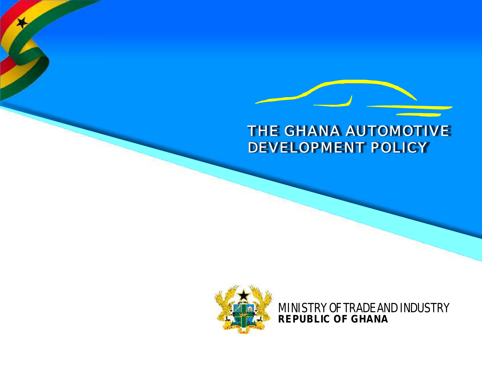## THE GHANA AUTOMOTIVE DEVELOPMENT POLICY



MINISTRY OF TRADE AND INDUSTRY **REPUBLIC OF GHANA**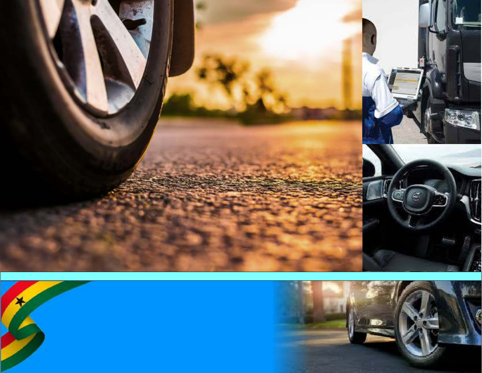

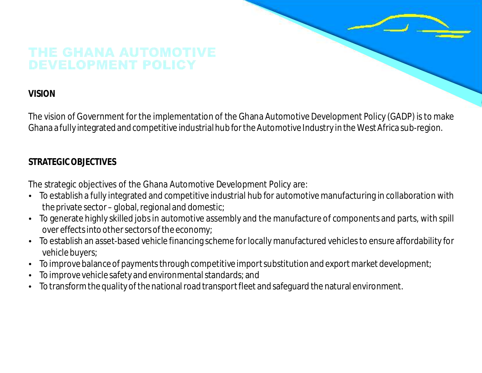# THE GHANA AUTOMOTIVE

#### **VISION**

The vision of Government for the implementation of the Ghana Automotive Development Policy (GADP) is to make Ghana a fully integrated and competitive industrial hub for the Automotive Industry in the West Africa sub-region.

**01**

#### **STRATEGIC OBJECTIVES**

- The strategic objectives of the Ghana Automotive Development Policy are:<br>• To establish a fully integrated and competitive industrial hub for automotive manufacturing in collaboration with
- ?the private sector global, regional and domestic; To generate highly skilled jobs in automotive assembly and the manufacture of components and parts, with spill
- ?over effects into other sectors of the economy; To establish an asset-based vehicle financing scheme for locally manufactured vehicles to ensure affordability for
- :vehicle buyers<br>To improve bala • To improve balance of payments through competitive import substitution and export market development;<br>• To improve vehicle safety and environmental standards; and
- 
- ?To improve vehicle safety and environmental standards; and To transform the quality of the national road transport fleet and safeguard the natural environment.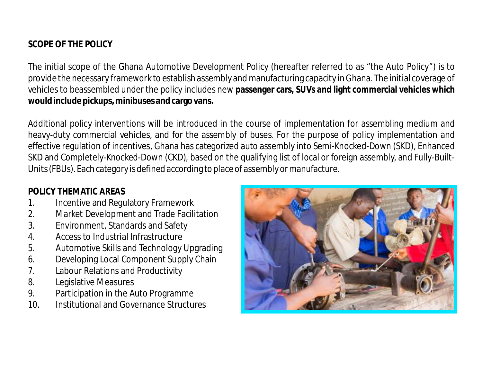#### **SCOPE OF THE POLICY**

The initial scope of the Ghana Automotive Development Policy (hereafter referred to as "the Auto Policy") is to provide the necessary framework to establish assembly and manufacturing capacity in Ghana. The initial coverage of vehicles to beassembled under the policy includes new **passenger cars, SUVs and light commercial vehicles which would include pickups, minibuses and cargo vans.**

Additional policy interventions will be introduced in the course of implementation for assembling medium and heavy-duty commercial vehicles, and for the assembly of buses. For the purpose of policy implementation and effective regulation of incentives, Ghana has categorized auto assembly into Semi-Knocked-Down (SKD), Enhanced SKD and Completely-Knocked-Down (CKD), based on the qualifying list of local or foreign assembly, and Fully-Built-Units (FBUs). Each category is defined according to place of assembly or manufacture.

#### **POLICY THEMATIC AREAS**

- 1. Incentive and Regulatory Framework
- 2. Market Development and Trade Facilitation
- 3. Environment, Standards and Safety
- 4. Access to Industrial Infrastructure
- 5. Automotive Skills and Technology Upgrading
- 6. Developing Local Component Supply Chain
- 7. Labour Relations and Productivity
- 8. Legislative Measures
- 9. Participation in the Auto Programme
- 10. Institutional and Governance Structures

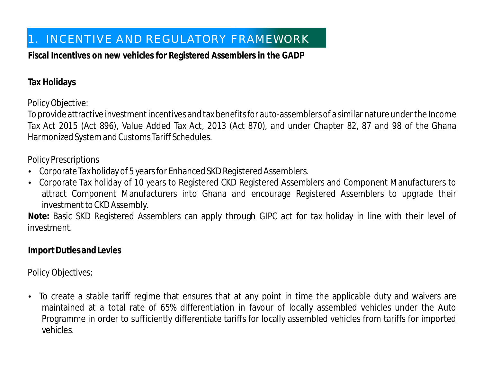### 1. INCENTIVE AND REGULATORY FRAMEWORK

**Fiscal Incentives on new vehicles for Registered Assemblers in the GADP**

#### **Tax Holidays**

#### *Policy Objective:*

To provide attractive investment incentives and tax benefits for auto-assemblers of a similar nature under the Income Tax Act 2015 (Act 896), Value Added Tax Act, 2013 (Act 870), and under Chapter 82, 87 and 98 of the Ghana Harmonized System and Customs Tariff Schedules.

- ?*Policy Prescriptions*
- Corporate Tax holiday of 5 years for Enhanced SKD Registered Assemblers.<br>• Corporate Tax holiday of 10 years to Registered CKD Registered Assemblers and Component Manufacturers to attract Component Manufacturers into Ghana and encourage Registered Assemblers to upgrade their investment to CKD Assembly.

**Note:** Basic SKD Registered Assemblers can apply through GIPC act for tax holiday in line with their level of investment.

#### **Import Duties and Levies**

#### *Policy Objectives:*

• To create a stable tariff regime that ensures that at any point in time the applicable duty and waivers are maintained at a total rate of 65% differentiation in favour of locally assembled vehicles under the Auto Programme in order to sufficiently differentiate tariffs for locally assembled vehicles from tariffs for imported vehicles.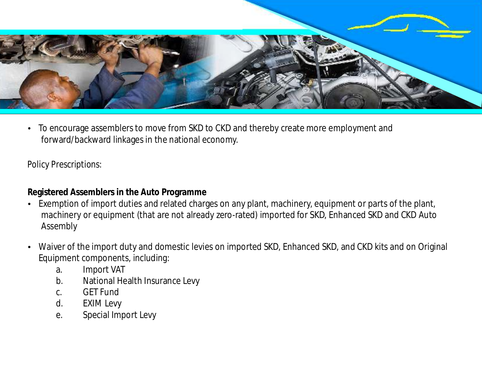

• To encourage assemblers to move from SKD to CKD and thereby create more employment and forward/backward linkages in the national economy.

- Registered Assemblers in the Auto Programme<br>• Exemption of import duties and related charges on any plant, machinery, equipment or parts of the plant, machinery or equipment (that are not already zero-rated) imported for SKD, Enhanced SKD and CKD Auto
- ?Assembly Waiver of the import duty and domestic levies on imported SKD, Enhanced SKD, and CKD kits and on Original Equipment components, including:
	- a. Import VAT
	- b. National Health Insurance Levy
	- c. GET Fund
	- d. EXIM Levy
	- e. Special Import Levy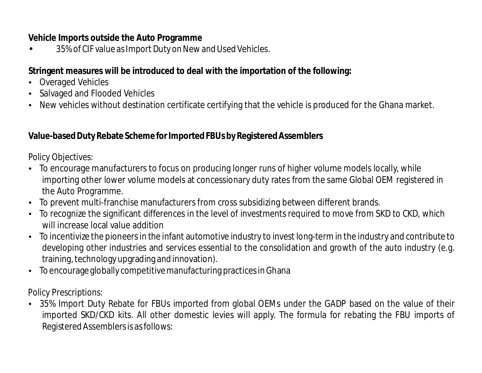**V**•**ehicle Imports outside the Auto Programme** 35% of CIF value as Import Duty on New and Used Vehicles.

?**Stringent measures will be introduced to deal with the importation of the following:**

- 
- Salvaged and Flooded Vehicles
- Salvaged and Flooded Vehicles<br>• New vehicles without destination certificate certifying that the vehicle is produced for the Ghana market.

**Value-based Duty Rebate Scheme for Imported FBUs by Registered Assemblers**

#### **Policy Objectives:**

- ?*olicy Objectives:* To encourage manufacturers to focus on producing longer runs of higher volume models locally, while importing other lower volume models at concessionary duty rates from the same Global OEM registered in the Auto Programme.<br>To prevent multi-franchise manufacturers from cross subsidizing between different brands.
- 
- To prevent multi-franchise manufacturers from cross subsidizing between different brands.<br>• To recognize the significant differences in the level of investments required to move from SKD to CKD, which
- ?will increase local value addition To incentivize the pioneers in the infant automotive industry to invest long-term in the industry and contribute to developing other industries and services essential to the consolidation and growth of the auto industry (e.g.
- ?training, technology upgrading and innovation). To encourage globally competitive manufacturing practices in Ghana

#### **Policy Prescriptions:**

?*olicy Prescriptions:*  35% Import Duty Rebate for FBUs imported from global OEMs under the GADP based on the value of their imported SKD/CKD kits. All other domestic levies will apply. The formula for rebating the FBU imports of Registered Assemblers is as follows: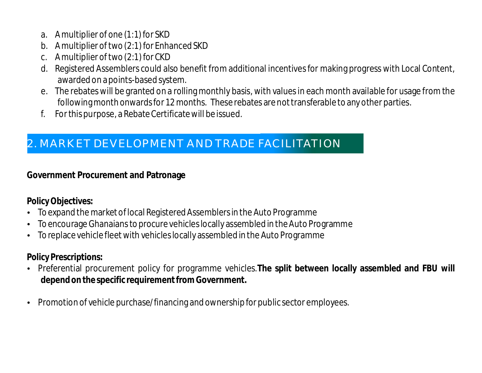- a. A multiplier of one (1:1) for SKD
- b. A multiplier of two (2:1) for Enhanced SKD
- c. A multiplier of two (2:1) for CKD
- d. Registered Assemblers could also benefit from additional incentives for making progress with Local Content, awarded on a points-based system.
- e. The rebates will be granted on a rolling monthly basis, with values in each month available for usage from the following month onwards for 12 months. These rebates are not transferable to any other parties.
- f. For this purpose, a Rebate Certificate will be issued.

### 2. MARKET DEVELOPMENT AND TRADE FACILITATION

**Government Procurement and Patronage**

#### **Policy Objectives:**

- To expand the market of local Registered Assemblers in the Auto Programme
- To encourage Ghanaians to procure vehicles locally assembled in the Auto Programme
- ?To encourage Ghanaians to procure vehicles locally assembled in the Auto Programme To replace vehicle fleet with vehicles locally assembled in the Auto Programme

- ?*olicy Prescriptions:* Preferential procurement policy for programme vehicles.**The split between locally assembled and FBU will depend on the specific requirement from Government.**
- Promotion of vehicle purchase/financing and ownership for public sector employees.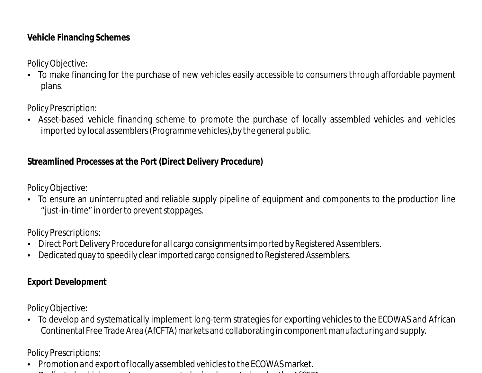#### **Vehicle Financing Schemes**

#### **Policy Objective:**

?*olicy Objective:* To make financing for the purchase of new vehicles easily accessible to consumers through affordable payment plans.

#### **Policy Prescription:**

?*olicy Prescription:* Asset-based vehicle financing scheme to promote the purchase of locally assembled vehicles and vehicles imported by local assemblers (Programme vehicles), by the general public.

**Streamlined Processes at the Port (Direct Delivery Procedure)**

#### Policy Objective:

?*olicy Objective:* To ensure an uninterrupted and reliable supply pipeline of equipment and components to the production line "just-in-time" in order to prevent stoppages.

#### **Policy Prescriptions:**

- Direct Port Delivery Procedure for all cargo consignments imported by Registered Assemblers.
- Direct Port Delivery Procedure for all cargo consignments imported by Registered Assemblers.<br>• Dedicated quay to speedily clear imported cargo consigned to Registered Assemblers.

#### **Export Development**

#### Policy Objective:

?*olicy Objective:* To develop and systematically implement long-term strategies for exporting vehicles to the ECOWAS and African Continental Free Trade Area (AfCFTA) markets and collaborating in component manufacturing and supply.

- ?*olicy Prescriptions:* ?Promotion and export of locally assembled vehicles to the ECOWAS market.
- Dedicated vehicle export programme to be implemented under the AfCFTA.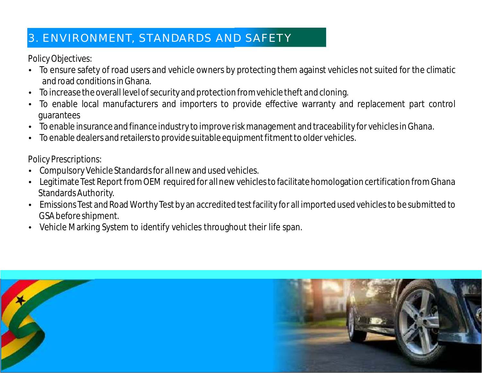### 3. ENVIRONMENT, STANDARDS AND SAFETY

**Policy Objectives:** 

- ?*olicy Objectives:*  To ensure safety of road users and vehicle owners by protecting them against vehicles not suited for the climatic and road conditions in Ghana.<br>• To increase the overall level of security and protection from vehicle theft and cloning.
- 
- To increase the overall level of security and protection from vehicle theft and cloning.<br>• To enable local manufacturers and importers to provide effective warranty and replacement part control
- guarantees<br>To enable in • To enable insurance and finance industry to improve risk management and traceability for vehicles in Ghana.<br>• To enable dealers and retailers to provide suitable equipment fitment to older vehicles.
- To enable dealers and retailers to provide suitable equipment fitment to older vehicles.

- Compulsory Vehicle Standards for all new and used vehicles.
- Compulsory Vehicle Standards for all new and used vehicles.<br>• Legitimate Test Report from OEM required for all new vehicles to facilitate homologation certification from Ghana
- ?Standards Authority. Emissions Test and Road Worthy Test by an accredited test facility for all imported used vehicles to be submitted to
- ?GSA before shipment. Vehicle Marking System to identify vehicles throughout their life span.

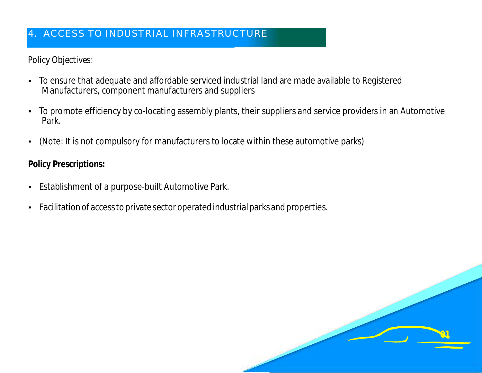#### 4. ACCESS TO INDUSTRIAL INFRASTRUCTURE

- *P*?*olicy Objectives:* To ensure that adequate and affordable serviced industrial land are made available to Registered
- ?Manufacturers, component manufacturers and suppliers To promote efficiency by co-locating assembly plants, their suppliers and service providers in an Automotive
- ?Park. (Note: It is not compulsory for manufacturers to locate within these automotive parks)

- 
- Establishment of a purpose-built Automotive Park.<br>• Facilitation of access to private sector operated industrial parks and properties.

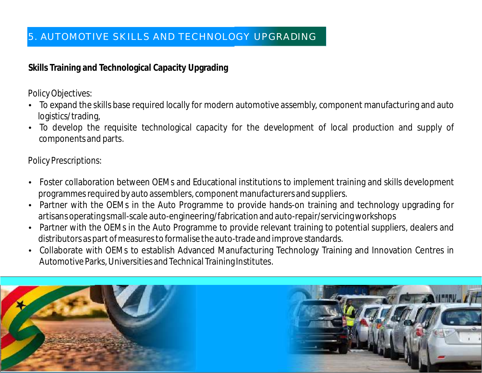#### 5. AUTOMOTIVE SKILLS AND TECHNOLOGY UPGRADING

**Skills Training and Technological Capacity Upgrading**

- ?*Policy Objectives:* To expand the skills base required locally for modern automotive assembly, component manufacturing and auto
- ?logistics/trading, To develop the requisite technological capacity for the development of local production and supply of components and parts.

- ?Foster collaboration between OEMs and Educational institutions to implement training and skills development
- ?programmes required by auto assemblers, component manufacturers and suppliers. Partner with the OEMs in the Auto Programme to provide hands-on training and technology upgrading for
- ?artisans operating small-scale auto-engineering/fabrication and auto-repair/servicing workshops Partner with the OEMs in the Auto Programme to provide relevant training to potential suppliers, dealers and
- ?distributors as part of measures to formalise the auto-trade and improve standards. Collaborate with OEMs to establish Advanced Manufacturing Technology Training and Innovation Centres in Automotive Parks, Universities and Technical Training Institutes.

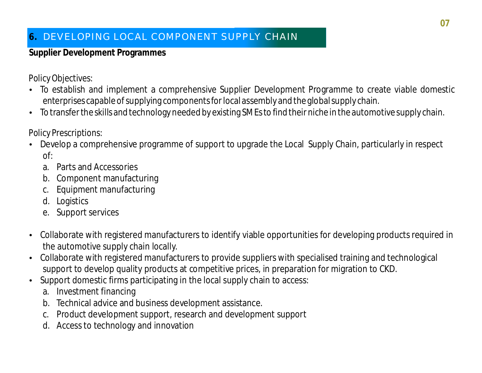### **6.**  DEVELOPING LOCAL COMPONENT SUPPLY CHAIN

#### **Supplier Development Programmes**

- ?*Policy Objectives:* To establish and implement a comprehensive Supplier Development Programme to create viable domestic
- ?enterprises capable of supplying components for local assembly and the global supply chain. To transfer the skills and technology needed by existing SMEs to find their niche in the automotive supply chain.

- ?*Policy Prescriptions:*  Develop a comprehensive programme of support to upgrade the Local Supply Chain, particularly in respect of:
	- a. Parts and Accessories
	- b. Component manufacturing
	- c. Equipment manufacturing
	- d. Logistics
	- e. Support services
- Collaborate with registered manufacturers to identify viable opportunities for developing products required in
- ?the automotive supply chain locally. Collaborate with registered manufacturers to provide suppliers with specialised training and technological support to develop quality products at competitive prices, in preparation for migration to CKD.<br>Support domestic firms participating in the local supply chain to access:
- Support domestic firms participating in the local supply chain to access:
	- a. Investment financing
	- b. Technical advice and business development assistance.
	- c. Product development support, research and development support
	- d. Access to technology and innovation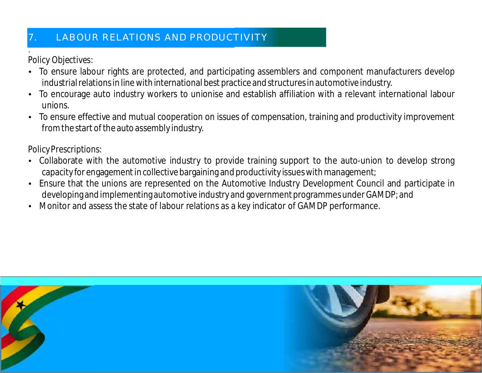### LABOUR RELATIONS AND PRODUCTIVITY

. **Policy Objectives:** 

- ?*olicy Objectives:* To ensure labour rights are protected, and participating assemblers and component manufacturers develop
- ?industrial relations in line with international best practice and structures in automotive industry. To encourage auto industry workers to unionise and establish affiliation with a relevant international labour
- ?unions. To ensure effective and mutual cooperation on issues of compensation, training and productivity improvement from the start of the auto assembly industry.

- ?*olicy Prescriptions:*  Collaborate with the automotive industry to provide training support to the auto-union to develop strong
- ?capacity for engagement in collective bargaining and productivity issues with management; Ensure that the unions are represented on the Automotive Industry Development Council and participate in
- ?developing and implementing automotive industry and government programmes under GAMDP; and Monitor and assess the state of labour relations as a key indicator of GAMDP performance.

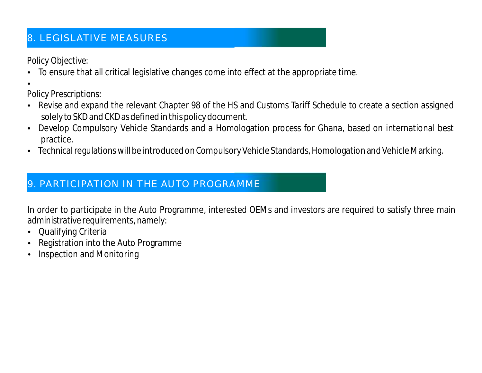### 8. LEGISLATIVE MEASURES

**Policy Objective:** 

- ?*olicy Objective:* • To ensure that all critical legislative changes come into effect at the appropriate time.<br>•
- 

- ?*Policy Prescriptions:* Revise and expand the relevant Chapter 98 of the HS and Customs Tariff Schedule to create a section assigned
- ?solely to SKD and CKD as defined in this policy document. Develop Compulsory Vehicle Standards and a Homologation process for Ghana, based on international best
- ?practice. Technical regulations will be introduced on Compulsory Vehicle Standards, Homologation and Vehicle Marking.

#### 9. PARTICIPATION IN THE AUTO PROGRAMME

In order to participate in the Auto Programme, interested OEMs and investors are required to satisfy three main administrative requirements, namely:<br>• Qualifying Criteria

- 
- Qualifying Criteria<br>• Registration into tl • Registration into the Auto Programme<br>• Inspection and Monitoring
- Inspection and Monitoring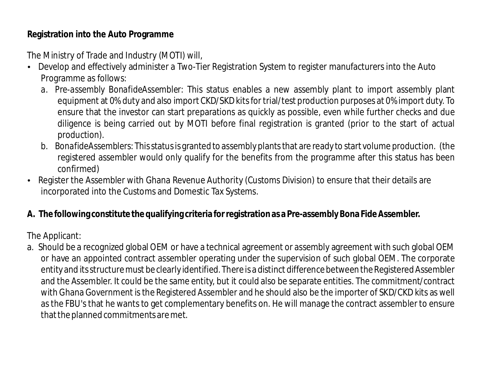**Registration into the Auto Programme**

The Ministry of Trade and Industry (MOTI) will.

- The Ministry of Trade and Industry (MOTI) will,<br>• Develop and effectively administer a Two-Tier Registration System to register manufacturers into the Auto Programme as follows:
	- *a. Pre-assembly BonafideAssembler*: This status enables a new assembly plant to import assembly plant equipment at 0% duty and also import CKD/SKD kits for trial/test production purposes at 0% import duty. To ensure that the investor can start preparations as quickly as possible, even while further checks and due diligence is being carried out by MOTI before final registration is granted (prior to the start of actual production).
	- *b. BonafideAssemblers*: This status is granted to assembly plants that are ready to start volume production. (the registered assembler would only qualify for the benefits from the programme after this status has been
- ?confirmed) Register the Assembler with Ghana Revenue Authority (Customs Division) to ensure that their details are incorporated into the Customs and Domestic Tax Systems.
- **A. The following constitute the qualifying criteria for registration as a Pre-assembly Bona Fide Assembler.**

The Applicant:

a. Should be a recognized global OEM or have a technical agreement or assembly agreement with such global OEM or have an appointed contract assembler operating under the supervision of such global OEM. The corporate entity and its structure must be clearly identified. There is a distinct difference between the Registered Assembler and the Assembler. It could be the same entity, but it could also be separate entities. The commitment/contract with Ghana Government is the Registered Assembler and he should also be the importer of SKD/CKD kits as well as the FBU's that he wants to get complementary benefits on. He will manage the contract assembler to ensure that the planned commitments are met.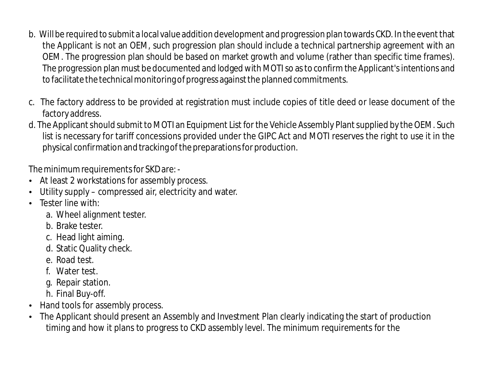- b. Will be required to submit a local value addition development and progression plan towards CKD. In the event that the Applicant is not an OEM, such progression plan should include a technical partnership agreement with an OEM. The progression plan should be based on market growth and volume (rather than specific time frames). The progression plan must be documented and lodged with MOTI so as to confirm the Applicant's intentions and to facilitate the technical monitoring of progress against the planned commitments.
- c. The factory address to be provided at registration must include copies of title deed or lease document of the factory address.
- d. The Applicant should submit to MOTI an Equipment List for the Vehicle Assembly Plant supplied by the OEM. Such list is necessary for tariff concessions provided under the GIPC Act and MOTI reserves the right to use it in the physical confirmation and tracking of the preparations for production.

- The minimum requirements for SKD are: -<br>• At least 2 workstations for assembly process.
- At least 2 workstations for assembly process.<br>• Utility supply compressed air, electricity an • Utility supply – compressed air, electricity and water.<br>• Tester line with:
- $\bullet$  Tester line with:
	- a. Wheel alignment tester.
	- b. Brake tester.
	- c. Head light aiming.
	- d. Static Quality check.
	- e. Road test.
	- f. Water test.
	- g. Repair station.
	-
- **h. Final Buy-off.**<br>• Hand tools for assembly process.
- Hand tools for assembly process.<br>• The Applicant should present an Assembly and Investment Plan clearly indicating the start of production timing and how it plans to progress to CKD assembly level. The minimum requirements for the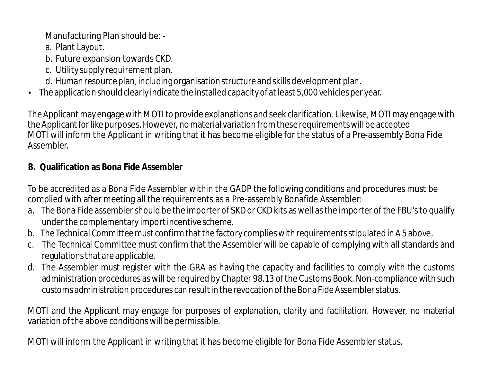Manufacturing Plan should be: -

- a. Plant Layout.
- b. Future expansion towards CKD.
- c. Utility supply requirement plan.
- 
- ?d. Human resource plan, including organisation structure and skills development plan. The application should clearly indicate the installed capacity of at least 5,000 vehicles per year.

The Applicant may engage with MOTI to provide explanations and seek clarification. Likewise, MOTI may engage with the Applicant for like purposes. However, no material variation from these requirements will be accepted MOTI will inform the Applicant in writing that it has become eligible for the status of a Pre-assembly Bona Fide Assembler.

**B. Qualification as Bona Fide Assembler**

To be accredited as a Bona Fide Assembler within the GADP the following conditions and procedures must be complied with after meeting all the requirements as a Pre-assembly Bonafide Assembler:

- a. The Bona Fide assembler should be the importer of SKD or CKD kits as well as the importer of the FBU's to qualify under the complementary import incentive scheme.
- b. The Technical Committee must confirm that the factory complies with requirements stipulated in A 5 above.
- c. The Technical Committee must confirm that the Assembler will be capable of complying with all standards and regulations that are applicable.
- d. The Assembler must register with the GRA as having the capacity and facilities to comply with the customs administration procedures as will be required by Chapter 98.13 of the Customs Book. Non-compliance with such customs administration procedures can result in the revocation of the Bona Fide Assembler status.

MOTI and the Applicant may engage for purposes of explanation, clarity and facilitation. However, no material variation of the above conditions will be permissible.

MOTI will inform the Applicant in writing that it has become eligible for Bona Fide Assembler status.